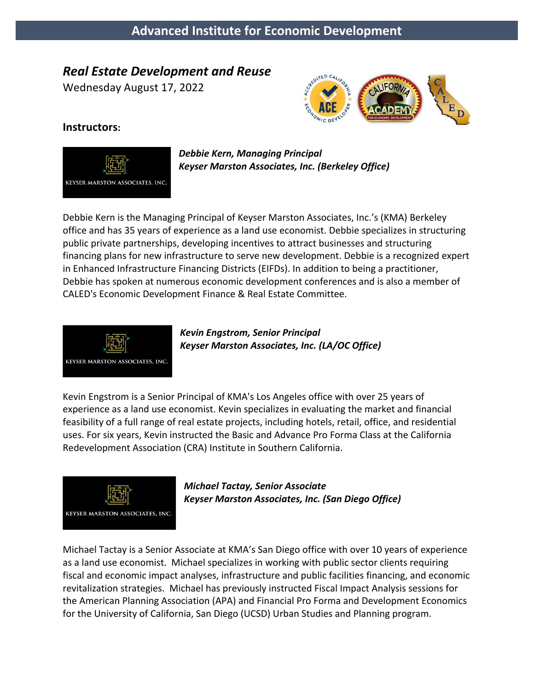# *Real Estate Development and Reuse*

Wednesday August 17, 2022



#### **Instructors:**



*Debbie Kern, Managing Principal Keyser Marston Associates, Inc. (Berkeley Office)*

Debbie Kern is the Managing Principal of Keyser Marston Associates, Inc.'s (KMA) Berkeley office and has 35 years of experience as a land use economist. Debbie specializes in structuring public private partnerships, developing incentives to attract businesses and structuring financing plans for new infrastructure to serve new development. Debbie is a recognized expert in Enhanced Infrastructure Financing Districts (EIFDs). In addition to being a practitioner, Debbie has spoken at numerous economic development conferences and is also a member of CALED's Economic Development Finance & Real Estate Committee.



*Kevin Engstrom, Senior Principal Keyser Marston Associates, Inc. (LA/OC Office)*

Kevin Engstrom is a Senior Principal of KMA's Los Angeles office with over 25 years of experience as a land use economist. Kevin specializes in evaluating the market and financial feasibility of a full range of real estate projects, including hotels, retail, office, and residential uses. For six years, Kevin instructed the Basic and Advance Pro Forma Class at the California Redevelopment Association (CRA) Institute in Southern California.



*Michael Tactay, Senior Associate Keyser Marston Associates, Inc. (San Diego Office)*

Michael Tactay is a Senior Associate at KMA's San Diego office with over 10 years of experience as a land use economist. Michael specializes in working with public sector clients requiring fiscal and economic impact analyses, infrastructure and public facilities financing, and economic revitalization strategies. Michael has previously instructed Fiscal Impact Analysis sessions for the American Planning Association (APA) and Financial Pro Forma and Development Economics for the University of California, San Diego (UCSD) Urban Studies and Planning program.